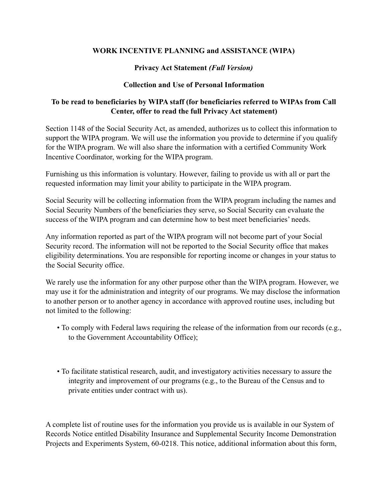## **WORK INCENTIVE PLANNING and ASSISTANCE (WIPA)**

## **Privacy Act Statement** *(Full Version)*

## **Collection and Use of Personal Information**

## **To be read to beneficiaries by WIPA staff (for beneficiaries referred to WIPAs from Call Center, offer to read the full Privacy Act statement)**

Section 1148 of the Social Security Act, as amended, authorizes us to collect this information to support the WIPA program. We will use the information you provide to determine if you qualify for the WIPA program. We will also share the information with a certified Community Work Incentive Coordinator, working for the WIPA program.

Furnishing us this information is voluntary. However, failing to provide us with all or part the requested information may limit your ability to participate in the WIPA program.

Social Security will be collecting information from the WIPA program including the names and Social Security Numbers of the beneficiaries they serve, so Social Security can evaluate the success of the WIPA program and can determine how to best meet beneficiaries' needs.

Any information reported as part of the WIPA program will not become part of your Social Security record. The information will not be reported to the Social Security office that makes eligibility determinations. You are responsible for reporting income or changes in your status to the Social Security office.

We rarely use the information for any other purpose other than the WIPA program. However, we may use it for the administration and integrity of our programs. We may disclose the information to another person or to another agency in accordance with approved routine uses, including but not limited to the following:

- To comply with Federal laws requiring the release of the information from our records (e.g., to the Government Accountability Office);
- To facilitate statistical research, audit, and investigatory activities necessary to assure the integrity and improvement of our programs (e.g., to the Bureau of the Census and to private entities under contract with us).

A complete list of routine uses for the information you provide us is available in our System of Records Notice entitled Disability Insurance and Supplemental Security Income Demonstration Projects and Experiments System, 60-0218. This notice, additional information about this form,